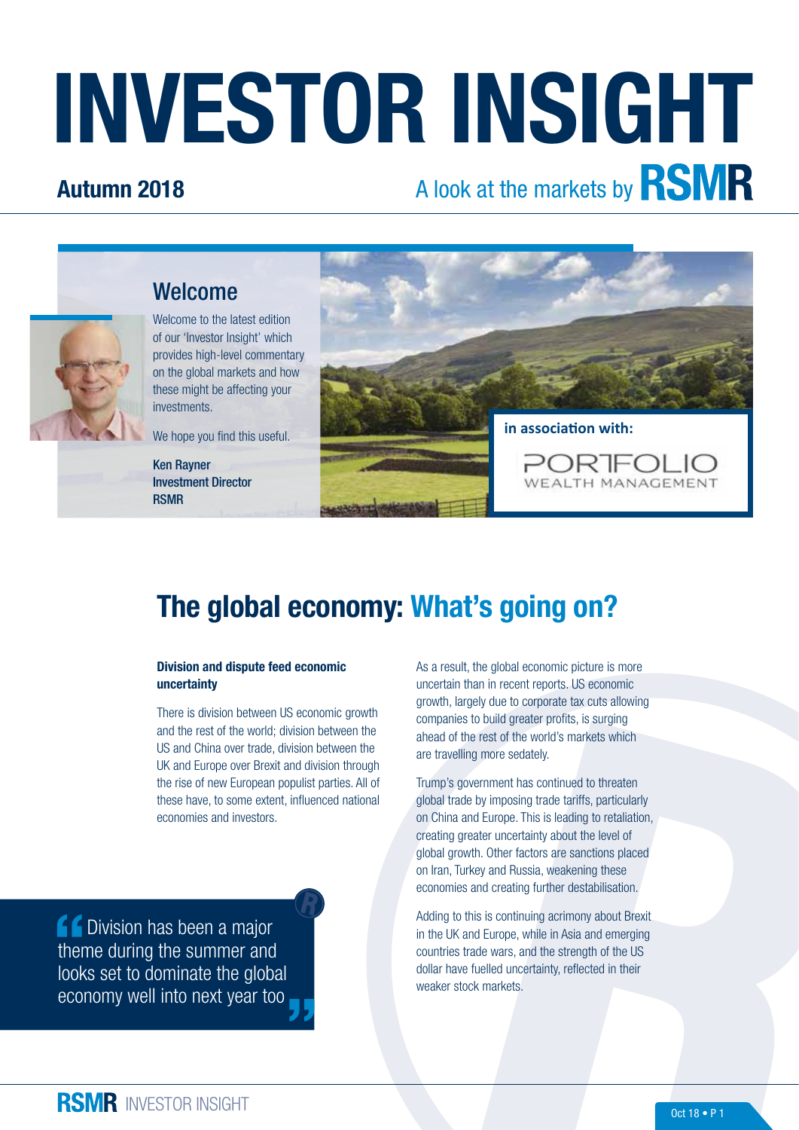# INVESTOR INSIGHT

## Autumn 2018

# A look at the markets by **RSMR**



Welcome to the latest edition of our 'Investor Insight' which provides high-level commentary on the global markets and how these might be affecting your investments.

Welcome

We hope you find this useful.

Ken Rayner Investment Director RSMR



## The global economy: What's going on?

#### Division and dispute feed economic uncertainty

There is division between US economic growth and the rest of the world; division between the US and China over trade, division between the UK and Europe over Brexit and division through the rise of new European populist parties. All of these have, to some extent, influenced national economies and investors.

**CODIVISION has been a major** theme during the summer and looks set to dominate the global economy well into next year too As a result, the global economic picture is more uncertain than in recent reports. US economic growth, largely due to corporate tax cuts allowing companies to build greater profits, is surging ahead of the rest of the world's markets which are travelling more sedately.

Trump's government has continued to threaten global trade by imposing trade tariffs, particularly on China and Europe. This is leading to retaliation, creating greater uncertainty about the level of global growth. Other factors are sanctions placed on Iran, Turkey and Russia, weakening these economies and creating further destabilisation.

Adding to this is continuing acrimony about Brexit in the UK and Europe, while in Asia and emerging countries trade wars, and the strength of the US dollar have fuelled uncertainty, reflected in their weaker stock markets.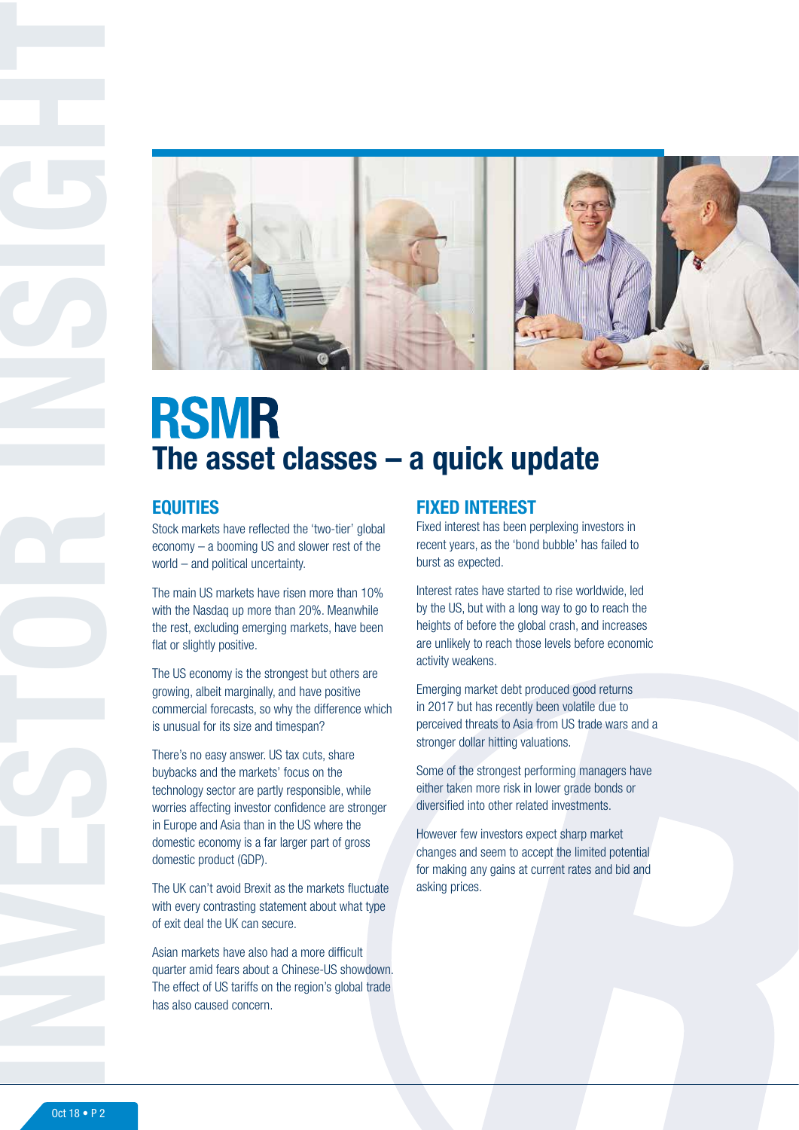

# **RSMR** The asset classes – a quick update

## **EQUITIES**

Stock markets have reflected the 'two-tier' global economy – a booming US and slower rest of the world – and political uncertainty.

The main US markets have risen more than 10% with the Nasdaq up more than 20%. Meanwhile the rest, excluding emerging markets, have been flat or slightly positive.

The US economy is the strongest but others are growing, albeit marginally, and have positive commercial forecasts, so why the difference which is unusual for its size and timespan?

There's no easy answer. US tax cuts, share buybacks and the markets' focus on the technology sector are partly responsible, while worries affecting investor confidence are stronger in Europe and Asia than in the US where the domestic economy is a far larger part of gross domestic product (GDP).

The UK can't avoid Brexit as the markets fluctuate with every contrasting statement about what type of exit deal the UK can secure.

Asian markets have also had a more difficult quarter amid fears about a Chinese-US showdown. The effect of US tariffs on the region's global trade has also caused concern.

## FIXED INTEREST

Fixed interest has been perplexing investors in recent years, as the 'bond bubble' has failed to burst as expected.

Interest rates have started to rise worldwide, led by the US, but with a long way to go to reach the heights of before the global crash, and increases are unlikely to reach those levels before economic activity weakens.

Emerging market debt produced good returns in 2017 but has recently been volatile due to perceived threats to Asia from US trade wars and a stronger dollar hitting valuations.

Some of the strongest performing managers have either taken more risk in lower grade bonds or diversified into other related investments.

However few investors expect sharp market changes and seem to accept the limited potential for making any gains at current rates and bid and asking prices.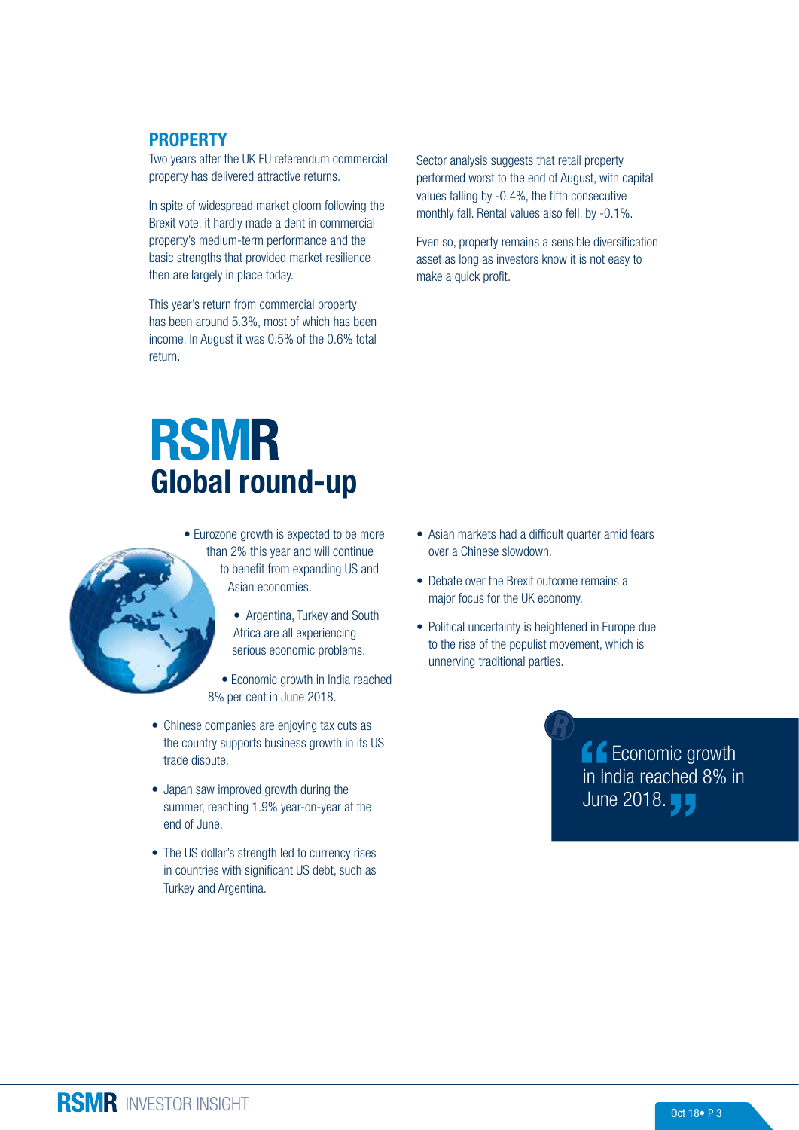### PROPERTY

Two years after the UK EU referendum commercial property has delivered attractive returns.

In spite of widespread market gloom following the Brexit vote, it hardly made a dent in commercial property's medium-term performance and the basic strengths that provided market resilience then are largely in place today.

This year's return from commercial property has been around 5.3%, most of which has been income. In August it was 0.5% of the 0.6% total return.

Sector analysis suggests that retail property performed worst to the end of August, with capital values falling by -0.4%, the fifth consecutive monthly fall. Rental values also fell, by -0.1%.

Even so, property remains a sensible diversification asset as long as investors know it is not easy to make a quick profit.

# **RSMR** Global round-up

- Eurozone growth is expected to be more than 2% this year and will continue to benefit from expanding US and Asian economies.
	- Argentina, Turkey and South Africa are all experiencing
	- serious economic problems. • Economic growth in India reached 8% per cent in June 2018.
- Chinese companies are enjoying tax cuts as the country supports business growth in its US trade dispute.
- Japan saw improved growth during the summer, reaching 1.9% year-on-year at the end of June.
- The US dollar's strength led to currency rises in countries with significant US debt, such as Turkey and Argentina.
- Asian markets had a difficult quarter amid fears over a Chinese slowdown.
- Debate over the Brexit outcome remains a major focus for the UK economy.
- Political uncertainty is heightened in Europe due to the rise of the populist movement, which is unnerving traditional parties.

**f** Economic growth in India reached 8% in June 2018. **J**